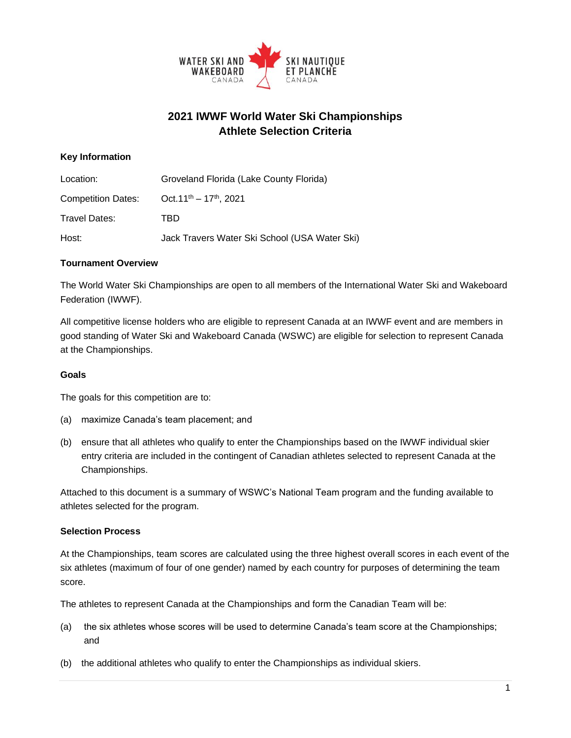

# **2021 IWWF World Water Ski Championships Athlete Selection Criteria**

## **Key Information**

| Location:                 | Groveland Florida (Lake County Florida)       |  |  |
|---------------------------|-----------------------------------------------|--|--|
| <b>Competition Dates:</b> | Oct. $11^{th} - 17^{th}$ , 2021               |  |  |
| Travel Dates:             | TBD                                           |  |  |
| Host:                     | Jack Travers Water Ski School (USA Water Ski) |  |  |

#### **Tournament Overview**

The World Water Ski Championships are open to all members of the International Water Ski and Wakeboard Federation (IWWF).

All competitive license holders who are eligible to represent Canada at an IWWF event and are members in good standing of Water Ski and Wakeboard Canada (WSWC) are eligible for selection to represent Canada at the Championships.

#### **Goals**

The goals for this competition are to:

- (a) maximize Canada's team placement; and
- (b) ensure that all athletes who qualify to enter the Championships based on the IWWF individual skier entry criteria are included in the contingent of Canadian athletes selected to represent Canada at the Championships.

Attached to this document is a summary of WSWC's National Team program and the funding available to athletes selected for the program.

#### **Selection Process**

At the Championships, team scores are calculated using the three highest overall scores in each event of the six athletes (maximum of four of one gender) named by each country for purposes of determining the team score.

The athletes to represent Canada at the Championships and form the Canadian Team will be:

- (a) the six athletes whose scores will be used to determine Canada's team score at the Championships; and
- (b) the additional athletes who qualify to enter the Championships as individual skiers.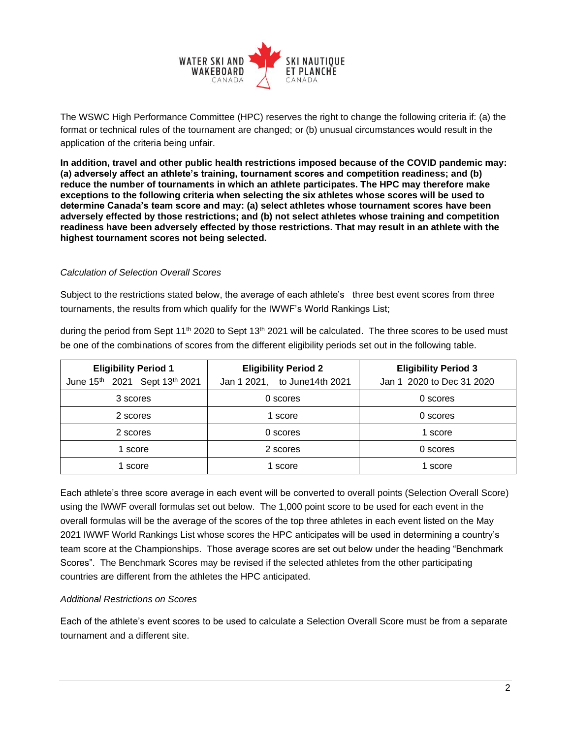

The WSWC High Performance Committee (HPC) reserves the right to change the following criteria if: (a) the format or technical rules of the tournament are changed; or (b) unusual circumstances would result in the application of the criteria being unfair.

**In addition, travel and other public health restrictions imposed because of the COVID pandemic may: (a) adversely affect an athlete's training, tournament scores and competition readiness; and (b) reduce the number of tournaments in which an athlete participates. The HPC may therefore make exceptions to the following criteria when selecting the six athletes whose scores will be used to determine Canada's team score and may: (a) select athletes whose tournament scores have been adversely effected by those restrictions; and (b) not select athletes whose training and competition readiness have been adversely effected by those restrictions. That may result in an athlete with the highest tournament scores not being selected.**

#### *Calculation of Selection Overall Scores*

Subject to the restrictions stated below, the average of each athlete's three best event scores from three tournaments, the results from which qualify for the IWWF's World Rankings List;

during the period from Sept 11<sup>th</sup> 2020 to Sept 13<sup>th</sup> 2021 will be calculated. The three scores to be used must be one of the combinations of scores from the different eligibility periods set out in the following table.

| <b>Eligibility Period 1</b>   | <b>Eligibility Period 2</b>   | <b>Eligibility Period 3</b> |
|-------------------------------|-------------------------------|-----------------------------|
| June 15th 2021 Sept 13th 2021 | Jan 1 2021, to June 14th 2021 | Jan 1 2020 to Dec 31 2020   |
| 3 scores                      | 0 scores                      | 0 scores                    |
| 2 scores                      | score                         | 0 scores                    |
| 2 scores                      | 0 scores                      | 1 score                     |
| 1 score                       | 2 scores                      | 0 scores                    |
| 1 score                       | score                         | 1 score                     |

Each athlete's three score average in each event will be converted to overall points (Selection Overall Score) using the IWWF overall formulas set out below. The 1,000 point score to be used for each event in the overall formulas will be the average of the scores of the top three athletes in each event listed on the May 2021 IWWF World Rankings List whose scores the HPC anticipates will be used in determining a country's team score at the Championships. Those average scores are set out below under the heading "Benchmark Scores". The Benchmark Scores may be revised if the selected athletes from the other participating countries are different from the athletes the HPC anticipated.

#### *Additional Restrictions on Scores*

Each of the athlete's event scores to be used to calculate a Selection Overall Score must be from a separate tournament and a different site.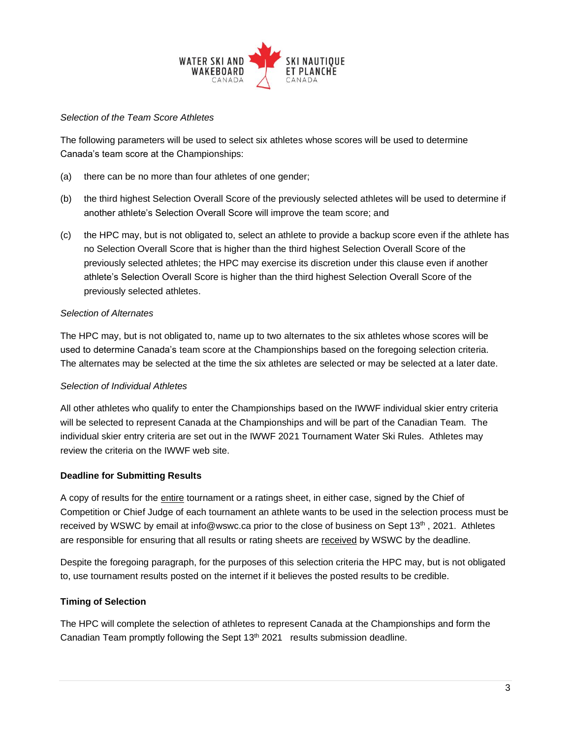

### *Selection of the Team Score Athletes*

The following parameters will be used to select six athletes whose scores will be used to determine Canada's team score at the Championships:

- (a) there can be no more than four athletes of one gender;
- (b) the third highest Selection Overall Score of the previously selected athletes will be used to determine if another athlete's Selection Overall Score will improve the team score; and
- (c) the HPC may, but is not obligated to, select an athlete to provide a backup score even if the athlete has no Selection Overall Score that is higher than the third highest Selection Overall Score of the previously selected athletes; the HPC may exercise its discretion under this clause even if another athlete's Selection Overall Score is higher than the third highest Selection Overall Score of the previously selected athletes.

## *Selection of Alternates*

The HPC may, but is not obligated to, name up to two alternates to the six athletes whose scores will be used to determine Canada's team score at the Championships based on the foregoing selection criteria. The alternates may be selected at the time the six athletes are selected or may be selected at a later date.

#### *Selection of Individual Athletes*

All other athletes who qualify to enter the Championships based on the IWWF individual skier entry criteria will be selected to represent Canada at the Championships and will be part of the Canadian Team. The individual skier entry criteria are set out in the IWWF 2021 Tournament Water Ski Rules. Athletes may review the criteria on the IWWF web site.

#### **Deadline for Submitting Results**

A copy of results for the entire tournament or a ratings sheet, in either case, signed by the Chief of Competition or Chief Judge of each tournament an athlete wants to be used in the selection process must be received by WSWC by email at info@wswc.ca prior to the close of business on Sept 13<sup>th</sup>, 2021. Athletes are responsible for ensuring that all results or rating sheets are received by WSWC by the deadline.

Despite the foregoing paragraph, for the purposes of this selection criteria the HPC may, but is not obligated to, use tournament results posted on the internet if it believes the posted results to be credible.

#### **Timing of Selection**

The HPC will complete the selection of athletes to represent Canada at the Championships and form the Canadian Team promptly following the Sept  $13<sup>th</sup>$  2021 results submission deadline.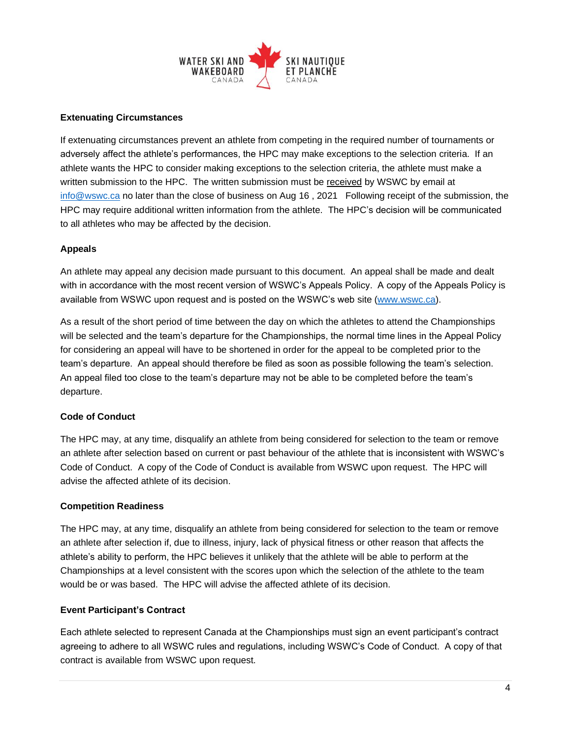

## **Extenuating Circumstances**

If extenuating circumstances prevent an athlete from competing in the required number of tournaments or adversely affect the athlete's performances, the HPC may make exceptions to the selection criteria. If an athlete wants the HPC to consider making exceptions to the selection criteria, the athlete must make a written submission to the HPC. The written submission must be received by WSWC by email at [info@wswc.ca](mailto:info@wswc.ca) no later than the close of business on Aug 16 , 2021 Following receipt of the submission, the HPC may require additional written information from the athlete. The HPC's decision will be communicated to all athletes who may be affected by the decision.

## **Appeals**

An athlete may appeal any decision made pursuant to this document. An appeal shall be made and dealt with in accordance with the most recent version of WSWC's Appeals Policy. A copy of the Appeals Policy is available from WSWC upon request and is posted on the WSWC's web site [\(www.wswc.ca\)](http://www.wswc.ca/).

As a result of the short period of time between the day on which the athletes to attend the Championships will be selected and the team's departure for the Championships, the normal time lines in the Appeal Policy for considering an appeal will have to be shortened in order for the appeal to be completed prior to the team's departure. An appeal should therefore be filed as soon as possible following the team's selection. An appeal filed too close to the team's departure may not be able to be completed before the team's departure.

#### **Code of Conduct**

The HPC may, at any time, disqualify an athlete from being considered for selection to the team or remove an athlete after selection based on current or past behaviour of the athlete that is inconsistent with WSWC's Code of Conduct. A copy of the Code of Conduct is available from WSWC upon request. The HPC will advise the affected athlete of its decision.

#### **Competition Readiness**

The HPC may, at any time, disqualify an athlete from being considered for selection to the team or remove an athlete after selection if, due to illness, injury, lack of physical fitness or other reason that affects the athlete's ability to perform, the HPC believes it unlikely that the athlete will be able to perform at the Championships at a level consistent with the scores upon which the selection of the athlete to the team would be or was based. The HPC will advise the affected athlete of its decision.

#### **Event Participant's Contract**

Each athlete selected to represent Canada at the Championships must sign an event participant's contract agreeing to adhere to all WSWC rules and regulations, including WSWC's Code of Conduct. A copy of that contract is available from WSWC upon request.